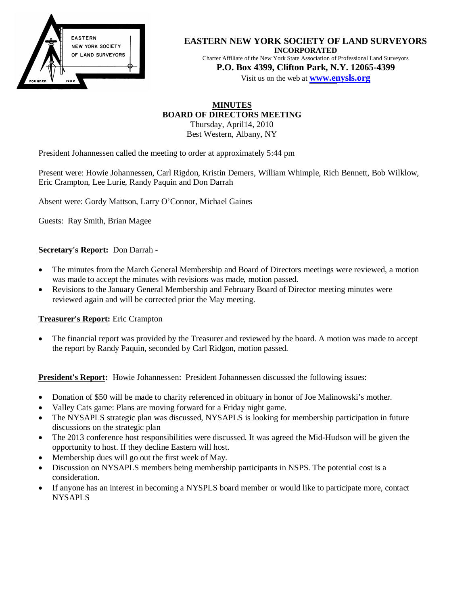

### **EASTERN NEW YORK SOCIETY OF LAND SURVEYORS INCORPORATED**

Charter Affiliate of the New York State Association of Professional Land Surveyors **P.O. Box 4399, Clifton Park, N.Y. 12065-4399** 

Visit us on the web at **[www.en](http://www.enysls.org/)ysls.org**

# **MINUTES BOARD OF DIRECTORS MEETING**

Thursday, April14, 2010 Best Western, Albany, NY

President Johannessen called the meeting to order at approximately 5:44 pm

Present were: Howie Johannessen, Carl Rigdon, Kristin Demers, William Whimple, Rich Bennett, Bob Wilklow, Eric Crampton, Lee Lurie, Randy Paquin and Don Darrah

Absent were: Gordy Mattson, Larry O'Connor, Michael Gaines

Guests: Ray Smith, Brian Magee

# **Secretary's Report:** Don Darrah -

- x The minutes from the March General Membership and Board of Directors meetings were reviewed, a motion was made to accept the minutes with revisions was made, motion passed.
- Revisions to the January General Membership and February Board of Director meeting minutes were reviewed again and will be corrected prior the May meeting.

## **Treasurer's Report:** Eric Crampton

• The financial report was provided by the Treasurer and reviewed by the board. A motion was made to accept the report by Randy Paquin, seconded by Carl Ridgon, motion passed.

**President's Report:** Howie Johannessen: President Johannessen discussed the following issues:

- Donation of \$50 will be made to charity referenced in obituary in honor of Joe Malinowski's mother.
- x Valley Cats game: Plans are moving forward for a Friday night game.
- The NYSAPLS strategic plan was discussed, NYSAPLS is looking for membership participation in future discussions on the strategic plan
- The 2013 conference host responsibilities were discussed. It was agreed the Mid-Hudson will be given the opportunity to host. If they decline Eastern will host.
- Membership dues will go out the first week of May.
- Discussion on NYSAPLS members being membership participants in NSPS. The potential cost is a consideration.
- If anyone has an interest in becoming a NYSPLS board member or would like to participate more, contact **NYSAPLS**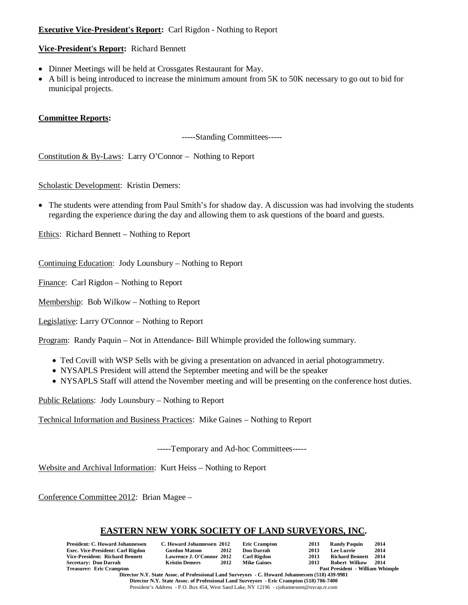# **Executive Vice-President's Report:** Carl Rigdon - Nothing to Report

## **Vice-President's Report:** Richard Bennett

- Dinner Meetings will be held at Crossgates Restaurant for May.
- A bill is being introduced to increase the minimum amount from 5K to 50K necessary to go out to bid for municipal projects.

## **Committee Reports:**

-----Standing Committees-----

Constitution & By-Laws: Larry O'Connor – Nothing to Report

Scholastic Development: Kristin Demers:

• The students were attending from Paul Smith's for shadow day. A discussion was had involving the students regarding the experience during the day and allowing them to ask questions of the board and guests.

Ethics: Richard Bennett – Nothing to Report

Continuing Education: Jody Lounsbury – Nothing to Report

Finance: Carl Rigdon – Nothing to Report

Membership: Bob Wilkow – Nothing to Report

Legislative: Larry O'Connor – Nothing to Report

Program: Randy Paquin – Not in Attendance- Bill Whimple provided the following summary.

- Ted Covill with WSP Sells with be giving a presentation on advanced in aerial photogrammetry.
- NYSAPLS President will attend the September meeting and will be the speaker
- NYSAPLS Staff will attend the November meeting and will be presenting on the conference host duties.

Public Relations: Jody Lounsbury – Nothing to Report

Technical Information and Business Practices: Mike Gaines – Nothing to Report

-----Temporary and Ad-hoc Committees-----

Website and Archival Information: Kurt Heiss – Nothing to Report

Conference Committee 2012: Brian Magee –

# **EASTERN NEW YORK SOCIETY OF LAND SURVEYORS, INC.**

| <b>President: C. Howard Johannessen</b>  | C. Howard Johannessen 2012 |      | <b>Eric Crampton</b> | 2013 | <b>Randy Paquin</b>                     | 2014 |
|------------------------------------------|----------------------------|------|----------------------|------|-----------------------------------------|------|
| <b>Exec. Vice-President: Carl Rigdon</b> | <b>Gordon Matson</b>       | 2012 | <b>Don Darrah</b>    | 2013 | Lee Lurrie                              | 2014 |
| Vice-President: Richard Bennett          | Lawrence J. O'Connor 2012  |      | <b>Carl Rigdon</b>   | 2013 | Richard Bennett 2014                    |      |
| <b>Secretary: Don Darrah</b>             | <b>Kristin Demers</b>      | 2012 | <b>Mike Gaines</b>   | 2013 | Robert Wilkow                           | 2014 |
| <b>Treasurer: Eric Crampton</b>          |                            |      |                      |      | <b>Past President - William Whimple</b> |      |

**Director N.Y. State Assoc. of Professional Land Surveyors - C. Howard Johannessen (518) 439-9981 Director N.Y. State Assoc. of Professional Land Surveyors - Eric Crampton (518) 786-7400**  President's Address - P.O. Box 454, West Sand Lake, NY 12196 - cjohannessen@nycap.rr.com